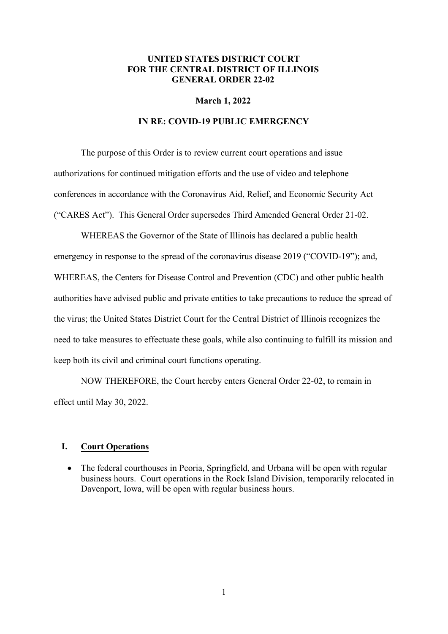## **UNITED STATES DISTRICT COURT FOR THE CENTRAL DISTRICT OF ILLINOIS GENERAL ORDER 22-02**

#### **March 1, 2022**

## **IN RE: COVID-19 PUBLIC EMERGENCY**

The purpose of this Order is to review current court operations and issue authorizations for continued mitigation efforts and the use of video and telephone conferences in accordance with the Coronavirus Aid, Relief, and Economic Security Act ("CARES Act"). This General Order supersedes Third Amended General Order 21-02.

WHEREAS the Governor of the State of Illinois has declared a public health emergency in response to the spread of the coronavirus disease 2019 ("COVID-19"); and, WHEREAS, the Centers for Disease Control and Prevention (CDC) and other public health authorities have advised public and private entities to take precautions to reduce the spread of the virus; the United States District Court for the Central District of Illinois recognizes the need to take measures to effectuate these goals, while also continuing to fulfill its mission and keep both its civil and criminal court functions operating.

NOW THEREFORE, the Court hereby enters General Order 22-02, to remain in effect until May 30, 2022.

### **I. Court Operations**

• The federal courthouses in Peoria, Springfield, and Urbana will be open with regular business hours. Court operations in the Rock Island Division, temporarily relocated in Davenport, Iowa, will be open with regular business hours.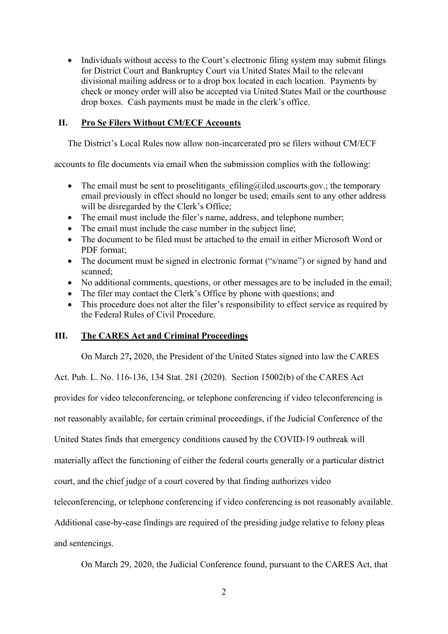• Individuals without access to the Court's electronic filing system may submit filings for District Court and Bankruptcy Court via United States Mail to the relevant divisional mailing address or to a drop box located in each location. Payments by check or money order will also be accepted via United States Mail or the courthouse drop boxes. Cash payments must be made in the clerk's office.

# **II. Pro Se Filers Without CM/ECF Accounts**

The District's Local Rules now allow non-incarcerated pro se filers without CM/ECF

accounts to file documents via email when the submission complies with the following:

- The email must be sent to proselitigants  $\epsilon$ filing@ilcd.uscourts.gov.; the temporary email previously in effect should no longer be used; emails sent to any other address will be disregarded by the Clerk's Office;
- The email must include the filer's name, address, and telephone number;
- The email must include the case number in the subject line;
- The document to be filed must be attached to the email in either Microsoft Word or PDF format;
- The document must be signed in electronic format ("s/name") or signed by hand and scanned;
- No additional comments, questions, or other messages are to be included in the email;
- The filer may contact the Clerk's Office by phone with questions; and
- This procedure does not alter the filer's responsibility to effect service as required by the Federal Rules of Civil Procedure.

## **III. The CARES Act and Criminal Proceedings**

On March 27**,** 2020, the President of the United States signed into law the CARES

Act. Pub. L. No. 116-136, 134 Stat. 281 (2020). Section 15002(b) of the CARES Act

provides for video teleconferencing, or telephone conferencing if video teleconferencing is

not reasonably available, for certain criminal proceedings, if the Judicial Conference of the

United States finds that emergency conditions caused by the COVID-19 outbreak will

materially affect the functioning of either the federal courts generally or a particular district

court, and the chief judge of a court covered by that finding authorizes video

teleconferencing, or telephone conferencing if video conferencing is not reasonably available.

Additional case-by-case findings are required of the presiding judge relative to felony pleas

and sentencings.

On March 29, 2020, the Judicial Conference found, pursuant to the CARES Act, that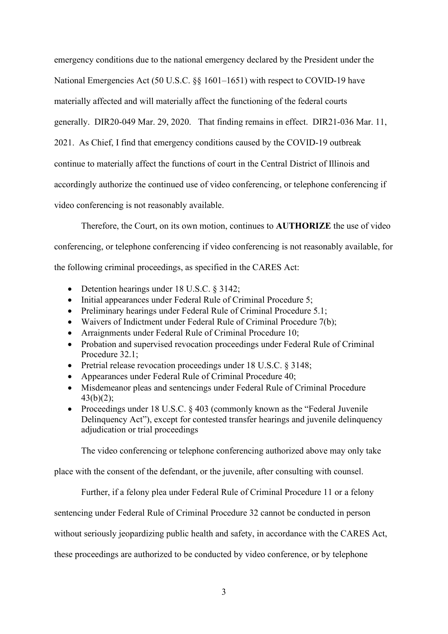emergency conditions due to the national emergency declared by the President under the National Emergencies Act (50 U.S.C. §§ 1601–1651) with respect to COVID-19 have materially affected and will materially affect the functioning of the federal courts generally. DIR20-049 Mar. 29, 2020. That finding remains in effect. DIR21-036 Mar. 11, 2021. As Chief, I find that emergency conditions caused by the COVID-19 outbreak continue to materially affect the functions of court in the Central District of Illinois and accordingly authorize the continued use of video conferencing, or telephone conferencing if video conferencing is not reasonably available.

Therefore, the Court, on its own motion, continues to **AUTHORIZE** the use of video conferencing, or telephone conferencing if video conferencing is not reasonably available, for the following criminal proceedings, as specified in the CARES Act:

- Detention hearings under 18 U.S.C. § 3142;
- Initial appearances under Federal Rule of Criminal Procedure 5;
- Preliminary hearings under Federal Rule of Criminal Procedure 5.1;
- Waivers of Indictment under Federal Rule of Criminal Procedure 7(b);
- Arraignments under Federal Rule of Criminal Procedure 10;
- Probation and supervised revocation proceedings under Federal Rule of Criminal Procedure 32.1;
- Pretrial release revocation proceedings under 18 U.S.C. § 3148;
- Appearances under Federal Rule of Criminal Procedure 40;
- Misdemeanor pleas and sentencings under Federal Rule of Criminal Procedure 43(b)(2);
- Proceedings under 18 U.S.C. § 403 (commonly known as the "Federal Juvenile" Delinquency Act"), except for contested transfer hearings and juvenile delinquency adjudication or trial proceedings

The video conferencing or telephone conferencing authorized above may only take

place with the consent of the defendant, or the juvenile, after consulting with counsel.

Further, if a felony plea under Federal Rule of Criminal Procedure 11 or a felony

sentencing under Federal Rule of Criminal Procedure 32 cannot be conducted in person

without seriously jeopardizing public health and safety, in accordance with the CARES Act,

these proceedings are authorized to be conducted by video conference, or by telephone